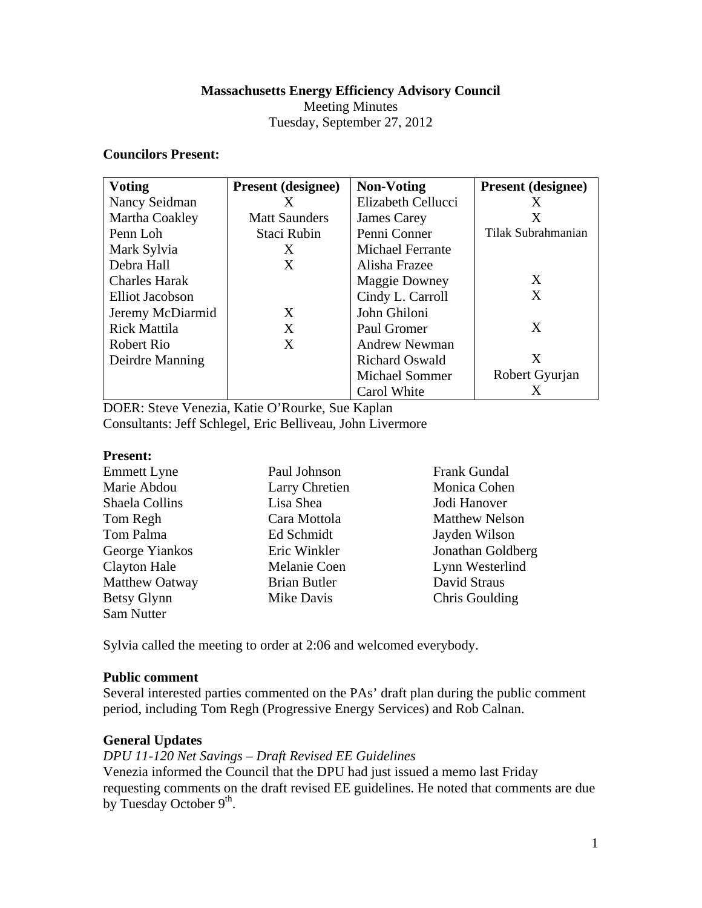## **Massachusetts Energy Efficiency Advisory Council**

Meeting Minutes

# Tuesday, September 27, 2012

## **Councilors Present:**

| <b>Voting</b>        | <b>Present (designee)</b> | <b>Non-Voting</b>       | <b>Present</b> (designee) |
|----------------------|---------------------------|-------------------------|---------------------------|
| Nancy Seidman        | X                         | Elizabeth Cellucci      | X                         |
| Martha Coakley       | <b>Matt Saunders</b>      | James Carey             | X                         |
| Penn Loh             | Staci Rubin               | Penni Conner            | Tilak Subrahmanian        |
| Mark Sylvia          | X                         | <b>Michael Ferrante</b> |                           |
| Debra Hall           | X                         | Alisha Frazee           |                           |
| <b>Charles Harak</b> |                           | <b>Maggie Downey</b>    | X                         |
| Elliot Jacobson      |                           | Cindy L. Carroll        | X                         |
| Jeremy McDiarmid     | X                         | John Ghiloni            |                           |
| <b>Rick Mattila</b>  | X                         | Paul Gromer             | X                         |
| Robert Rio           | X                         | Andrew Newman           |                           |
| Deirdre Manning      |                           | <b>Richard Oswald</b>   | X                         |
|                      |                           | <b>Michael Sommer</b>   | Robert Gyurjan            |
|                      |                           | Carol White             | Х                         |

DOER: Steve Venezia, Katie O'Rourke, Sue Kaplan Consultants: Jeff Schlegel, Eric Belliveau, John Livermore

#### **Present:**

| <b>Emmett Lyne</b>  | Paul Johnson        | <b>Frank Gundal</b>   |
|---------------------|---------------------|-----------------------|
| Marie Abdou         | Larry Chretien      | Monica Cohen          |
| Shaela Collins      | Lisa Shea           | Jodi Hanover          |
| Tom Regh            | Cara Mottola        | <b>Matthew Nelson</b> |
| Tom Palma           | Ed Schmidt          | Jayden Wilson         |
| George Yiankos      | Eric Winkler        | Jonathan Goldberg     |
| <b>Clayton Hale</b> | Melanie Coen        | Lynn Westerlind       |
| Matthew Oatway      | <b>Brian Butler</b> | David Straus          |
| Betsy Glynn         | Mike Davis          | Chris Goulding        |
| Sam Nutter          |                     |                       |

Sylvia called the meeting to order at 2:06 and welcomed everybody.

## **Public comment**

Several interested parties commented on the PAs' draft plan during the public comment period, including Tom Regh (Progressive Energy Services) and Rob Calnan.

## **General Updates**

*DPU 11-120 Net Savings – Draft Revised EE Guidelines* 

Venezia informed the Council that the DPU had just issued a memo last Friday requesting comments on the draft revised EE guidelines. He noted that comments are due by Tuesday October 9<sup>th</sup>.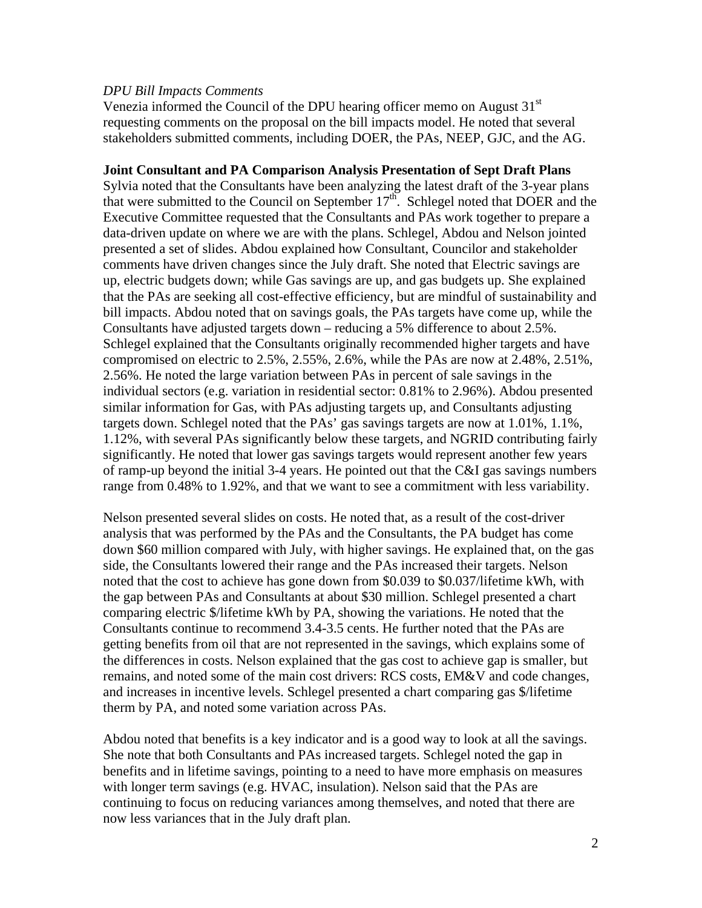#### *DPU Bill Impacts Comments*

Venezia informed the Council of the DPU hearing officer memo on August  $31<sup>st</sup>$ requesting comments on the proposal on the bill impacts model. He noted that several stakeholders submitted comments, including DOER, the PAs, NEEP, GJC, and the AG.

### **Joint Consultant and PA Comparison Analysis Presentation of Sept Draft Plans**

Sylvia noted that the Consultants have been analyzing the latest draft of the 3-year plans that were submitted to the Council on September  $17<sup>th</sup>$ . Schlegel noted that DOER and the Executive Committee requested that the Consultants and PAs work together to prepare a data-driven update on where we are with the plans. Schlegel, Abdou and Nelson jointed presented a set of slides. Abdou explained how Consultant, Councilor and stakeholder comments have driven changes since the July draft. She noted that Electric savings are up, electric budgets down; while Gas savings are up, and gas budgets up. She explained that the PAs are seeking all cost-effective efficiency, but are mindful of sustainability and bill impacts. Abdou noted that on savings goals, the PAs targets have come up, while the Consultants have adjusted targets down – reducing a 5% difference to about 2.5%. Schlegel explained that the Consultants originally recommended higher targets and have compromised on electric to 2.5%, 2.55%, 2.6%, while the PAs are now at 2.48%, 2.51%, 2.56%. He noted the large variation between PAs in percent of sale savings in the individual sectors (e.g. variation in residential sector: 0.81% to 2.96%). Abdou presented similar information for Gas, with PAs adjusting targets up, and Consultants adjusting targets down. Schlegel noted that the PAs' gas savings targets are now at 1.01%, 1.1%, 1.12%, with several PAs significantly below these targets, and NGRID contributing fairly significantly. He noted that lower gas savings targets would represent another few years of ramp-up beyond the initial 3-4 years. He pointed out that the C&I gas savings numbers range from 0.48% to 1.92%, and that we want to see a commitment with less variability.

Nelson presented several slides on costs. He noted that, as a result of the cost-driver analysis that was performed by the PAs and the Consultants, the PA budget has come down \$60 million compared with July, with higher savings. He explained that, on the gas side, the Consultants lowered their range and the PAs increased their targets. Nelson noted that the cost to achieve has gone down from \$0.039 to \$0.037/lifetime kWh, with the gap between PAs and Consultants at about \$30 million. Schlegel presented a chart comparing electric \$/lifetime kWh by PA, showing the variations. He noted that the Consultants continue to recommend 3.4-3.5 cents. He further noted that the PAs are getting benefits from oil that are not represented in the savings, which explains some of the differences in costs. Nelson explained that the gas cost to achieve gap is smaller, but remains, and noted some of the main cost drivers: RCS costs, EM&V and code changes, and increases in incentive levels. Schlegel presented a chart comparing gas \$/lifetime therm by PA, and noted some variation across PAs.

Abdou noted that benefits is a key indicator and is a good way to look at all the savings. She note that both Consultants and PAs increased targets. Schlegel noted the gap in benefits and in lifetime savings, pointing to a need to have more emphasis on measures with longer term savings (e.g. HVAC, insulation). Nelson said that the PAs are continuing to focus on reducing variances among themselves, and noted that there are now less variances that in the July draft plan.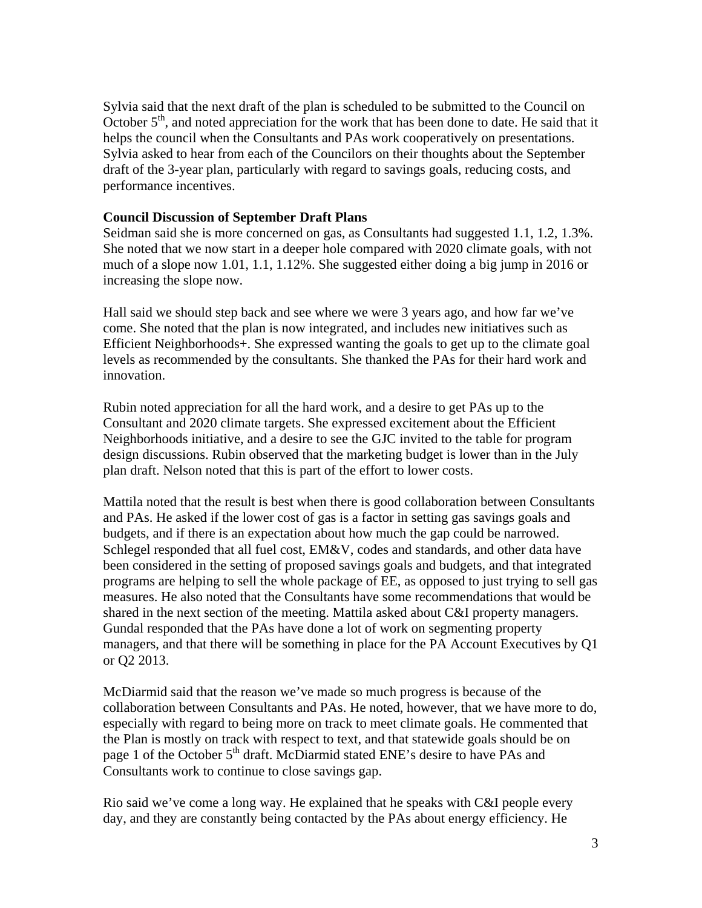Sylvia said that the next draft of the plan is scheduled to be submitted to the Council on October  $5<sup>th</sup>$ , and noted appreciation for the work that has been done to date. He said that it helps the council when the Consultants and PAs work cooperatively on presentations. Sylvia asked to hear from each of the Councilors on their thoughts about the September draft of the 3-year plan, particularly with regard to savings goals, reducing costs, and performance incentives.

## **Council Discussion of September Draft Plans**

Seidman said she is more concerned on gas, as Consultants had suggested 1.1, 1.2, 1.3%. She noted that we now start in a deeper hole compared with 2020 climate goals, with not much of a slope now 1.01, 1.1, 1.12%. She suggested either doing a big jump in 2016 or increasing the slope now.

Hall said we should step back and see where we were 3 years ago, and how far we've come. She noted that the plan is now integrated, and includes new initiatives such as Efficient Neighborhoods+. She expressed wanting the goals to get up to the climate goal levels as recommended by the consultants. She thanked the PAs for their hard work and innovation.

Rubin noted appreciation for all the hard work, and a desire to get PAs up to the Consultant and 2020 climate targets. She expressed excitement about the Efficient Neighborhoods initiative, and a desire to see the GJC invited to the table for program design discussions. Rubin observed that the marketing budget is lower than in the July plan draft. Nelson noted that this is part of the effort to lower costs.

Mattila noted that the result is best when there is good collaboration between Consultants and PAs. He asked if the lower cost of gas is a factor in setting gas savings goals and budgets, and if there is an expectation about how much the gap could be narrowed. Schlegel responded that all fuel cost, EM&V, codes and standards, and other data have been considered in the setting of proposed savings goals and budgets, and that integrated programs are helping to sell the whole package of EE, as opposed to just trying to sell gas measures. He also noted that the Consultants have some recommendations that would be shared in the next section of the meeting. Mattila asked about C&I property managers. Gundal responded that the PAs have done a lot of work on segmenting property managers, and that there will be something in place for the PA Account Executives by Q1 or Q2 2013.

McDiarmid said that the reason we've made so much progress is because of the collaboration between Consultants and PAs. He noted, however, that we have more to do, especially with regard to being more on track to meet climate goals. He commented that the Plan is mostly on track with respect to text, and that statewide goals should be on page 1 of the October 5<sup>th</sup> draft. McDiarmid stated ENE's desire to have PAs and Consultants work to continue to close savings gap.

Rio said we've come a long way. He explained that he speaks with C&I people every day, and they are constantly being contacted by the PAs about energy efficiency. He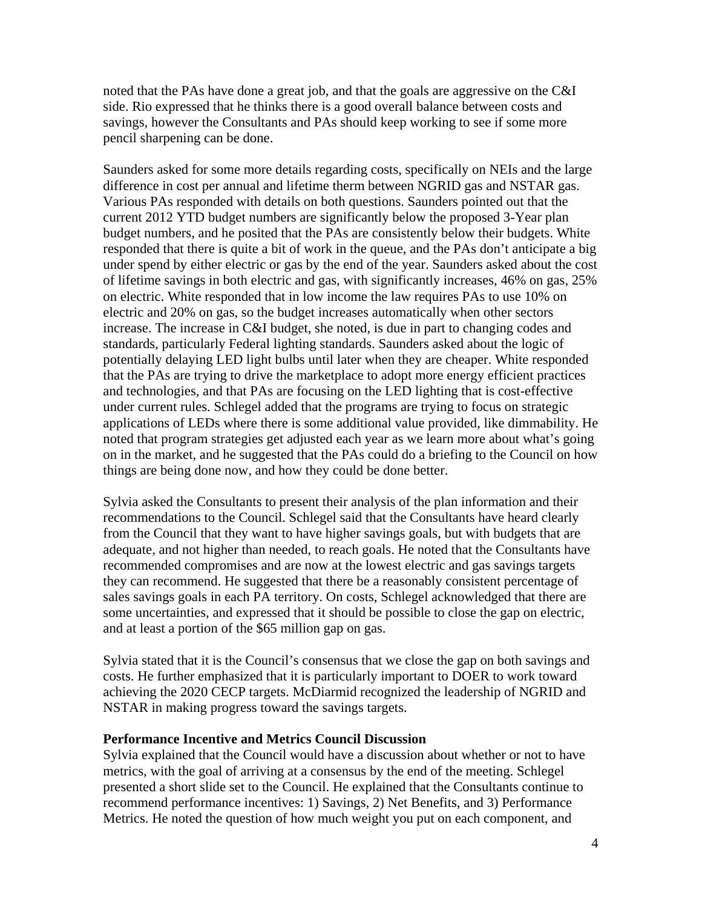noted that the PAs have done a great job, and that the goals are aggressive on the C&I side. Rio expressed that he thinks there is a good overall balance between costs and savings, however the Consultants and PAs should keep working to see if some more pencil sharpening can be done.

Saunders asked for some more details regarding costs, specifically on NEIs and the large difference in cost per annual and lifetime therm between NGRID gas and NSTAR gas. Various PAs responded with details on both questions. Saunders pointed out that the current 2012 YTD budget numbers are significantly below the proposed 3-Year plan budget numbers, and he posited that the PAs are consistently below their budgets. White responded that there is quite a bit of work in the queue, and the PAs don't anticipate a big under spend by either electric or gas by the end of the year. Saunders asked about the cost of lifetime savings in both electric and gas, with significantly increases, 46% on gas, 25% on electric. White responded that in low income the law requires PAs to use 10% on electric and 20% on gas, so the budget increases automatically when other sectors increase. The increase in C&I budget, she noted, is due in part to changing codes and standards, particularly Federal lighting standards. Saunders asked about the logic of potentially delaying LED light bulbs until later when they are cheaper. White responded that the PAs are trying to drive the marketplace to adopt more energy efficient practices and technologies, and that PAs are focusing on the LED lighting that is cost-effective under current rules. Schlegel added that the programs are trying to focus on strategic applications of LEDs where there is some additional value provided, like dimmability. He noted that program strategies get adjusted each year as we learn more about what's going on in the market, and he suggested that the PAs could do a briefing to the Council on how things are being done now, and how they could be done better.

Sylvia asked the Consultants to present their analysis of the plan information and their recommendations to the Council. Schlegel said that the Consultants have heard clearly from the Council that they want to have higher savings goals, but with budgets that are adequate, and not higher than needed, to reach goals. He noted that the Consultants have recommended compromises and are now at the lowest electric and gas savings targets they can recommend. He suggested that there be a reasonably consistent percentage of sales savings goals in each PA territory. On costs, Schlegel acknowledged that there are some uncertainties, and expressed that it should be possible to close the gap on electric, and at least a portion of the \$65 million gap on gas.

Sylvia stated that it is the Council's consensus that we close the gap on both savings and costs. He further emphasized that it is particularly important to DOER to work toward achieving the 2020 CECP targets. McDiarmid recognized the leadership of NGRID and NSTAR in making progress toward the savings targets.

#### **Performance Incentive and Metrics Council Discussion**

Sylvia explained that the Council would have a discussion about whether or not to have metrics, with the goal of arriving at a consensus by the end of the meeting. Schlegel presented a short slide set to the Council. He explained that the Consultants continue to recommend performance incentives: 1) Savings, 2) Net Benefits, and 3) Performance Metrics. He noted the question of how much weight you put on each component, and